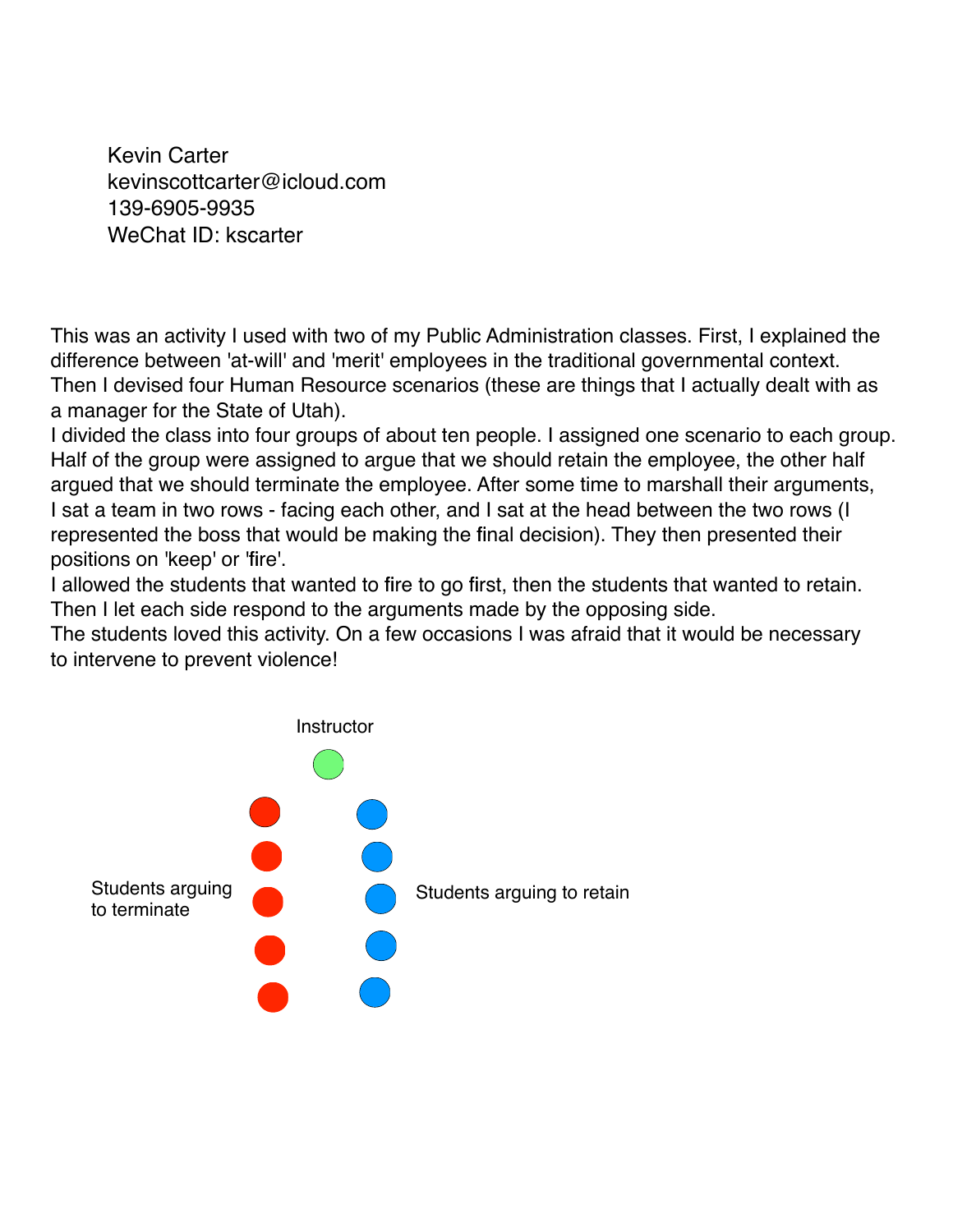Kevin Carter kevinscottcarter@icloud.com 139-6905-9935 WeChat ID: kscarter

This was an activity I used with two of my Public Administration classes. First, I explained the difference between 'at-will' and 'merit' employees in the traditional governmental context. Then I devised four Human Resource scenarios (these are things that I actually dealt with as a manager for the State of Utah).

I divided the class into four groups of about ten people. I assigned one scenario to each group. Half of the group were assigned to argue that we should retain the employee, the other half argued that we should terminate the employee. After some time to marshall their arguments, I sat a team in two rows - facing each other, and I sat at the head between the two rows (I represented the boss that would be making the final decision). They then presented their positions on 'keep' or 'fire'.

I allowed the students that wanted to fire to go first, then the students that wanted to retain. Then I let each side respond to the arguments made by the opposing side.

The students loved this activity. On a few occasions I was afraid that it would be necessary to intervene to prevent violence!

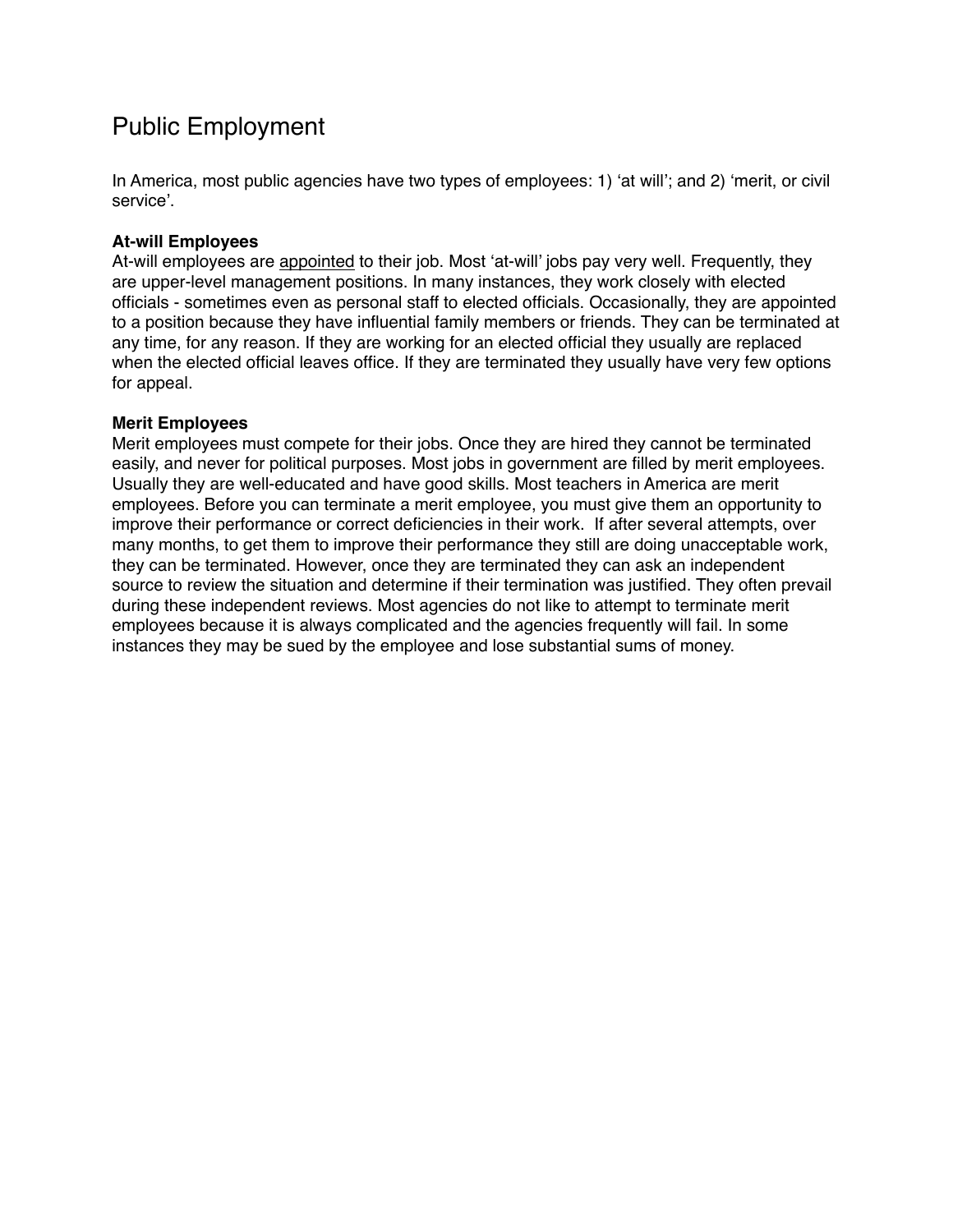# Public Employment

In America, most public agencies have two types of employees: 1) 'at will'; and 2) 'merit, or civil service'.

#### **At-will Employees**

At-will employees are appointed to their job. Most 'at-will' jobs pay very well. Frequently, they are upper-level management positions. In many instances, they work closely with elected officials - sometimes even as personal staff to elected officials. Occasionally, they are appointed to a position because they have influential family members or friends. They can be terminated at any time, for any reason. If they are working for an elected official they usually are replaced when the elected official leaves office. If they are terminated they usually have very few options for appeal.

#### **Merit Employees**

Merit employees must compete for their jobs. Once they are hired they cannot be terminated easily, and never for political purposes. Most jobs in government are filled by merit employees. Usually they are well-educated and have good skills. Most teachers in America are merit employees. Before you can terminate a merit employee, you must give them an opportunity to improve their performance or correct deficiencies in their work. If after several attempts, over many months, to get them to improve their performance they still are doing unacceptable work, they can be terminated. However, once they are terminated they can ask an independent source to review the situation and determine if their termination was justified. They often prevail during these independent reviews. Most agencies do not like to attempt to terminate merit employees because it is always complicated and the agencies frequently will fail. In some instances they may be sued by the employee and lose substantial sums of money.